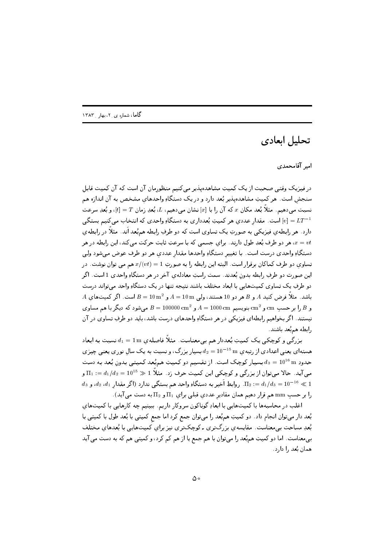## تحليل ابعادي

امبر آقامحمدی

در فیبزیک وقتبی صحبت از یک کمپیتِ مشاهدهپذیر می کنیم منظورمان آن است که آن کمپیت قابل سنجش است. هر کمیتِ مشاهدهیذیر بُعد دارد و در یک دستگاهِ واحدهای مشخص به آن اندازه هم نسبت مبی دهیم. مثلاً بُعد مکان  $x$  که آن را با  $[x]$  نشان مبی دهیم،  $L$ ، بُعدِ زمان  $T = [t]$ ، و بُعدِ سرعت است. مقدار عددي هر كميتِ بُعدداري به دستگاهِ واحدي كه انتخاب ميكنيم بستگي $[v] = LT^{-1}$ دارد. هر رابطهی فیزیکی به صورتِ یک تساوی است که دو طرفِ رابطه هم بُعد آند. مثلاً در رابطهی هر دو طرف بُعدِ طول دارند. برای جسمی که با سرعتِ ثابت حرکت می کند، این رابطه در هر  $x = vt$ دستگاهِ واحدي درست است. با تغيير دستگاهِ واحدها مقدار عددي هر دو طرف عوض مي شود ولي تساوی دو طرف کماکان برقرار است. البته این رابطه را به صورتِ 1 = x/(vt) هم می توان نوشت. در این صورت دو طرفِ رابطه بدون بُعدند. سمت راستِ معادلهی آخر در هر دستگاهِ واحدی 1 است. اگر دو طرفِ یک تساوی کمیتھایی با ابعاد مختلف باشند نتیجه تنها در یک دستگاهِ واحد می تواند درست  $A$  باشد. مثلاً فرض کنید  $A$  و  $B$  هر دو 10 هستند، ولی  $\dim A = 10 \text{ m}$  و  $A = 10 \text{ m}$ است. اگر کمیتهای و B را بر حسب cm و cm بنويسيم  $\text{cm}^2$  0000 cm و A = 10000 cm  $B = 10000$  cm مي شود كه ديگر با هم مساوي نیستند. اگر بخواهیم رابطهای فیزیکی در هر دستگاهِ واحدهای درست باشد، باید دو طرفِ تساوی در آن رابطه هم بُعد باشند.

بزرگی و کوچکی یک کمیتِ بُعددار هم بی معناست. مثلاً فاصلهی  $d_1=1\text{ m}$  نسبت به ابعاد هستهای یعنی اعدادی از رتبه ی m  $d_2=10^{-15}~{\rm m}$  بسیار بزرگ، و نسبت به یک سال نوری یعنی چیزی حدودِ m عليه و  $d_3=10^{16}$  بسيار كوچك است. از تقسيم دو كميتِ هم ُبعد كميتى بدون بُعد به دست می آید. حالا می توان از بزرگی و کوچکی این کمیت حرف زد. مثلاً 1 $\mathbb{Z} = d_1/d_2 = 10^{15} \in \Pi_1$  و  $d_3$  ي  $d_1/d_3 = 10^{-16} \ll 1$ . روابطِ اَخير به دستگاهِ واحد هم بستگي ندارد (اگر مقدار  $d_1$ ،  $d_2/d_3 = 10^{-16} \ll 1$ را بر حسب mm هم قرار دهیم همان مقادیر عددی قبلی برای  $\Pi_1$  و  $\Pi_2$  به دست می آید).

اغلب در محاسبهها با کمیتهایی با ابعادِ گوناکون سروکار داریم. ببینیم چه کارهایی با کمیتهای بُعد دار میتوان انجام داد. دو کمیتِ همٖبُعد را میتوان جمع کرد اما جمع کمیتی با بُعد طول با کمیتی با بُعدِ مساحت بی معناست. مقایسهی بزرگتری ـ کوچکتری نیز برای کمیتهایی با بُعدهای مختلف بی،معناست. اما دو کمیتِ هم؛ُمد را میتوان با هم جمع یا از هم کم کرد، و کمیتی هم که به دست می آید همان بُعد را دارد.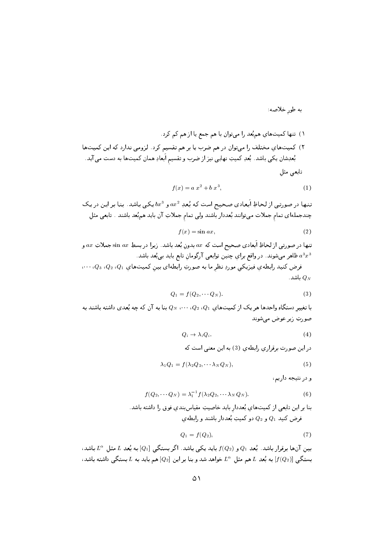به طور خلاصه:

$$
f(x) = a x2 + b x3,
$$
 (1)

تنبها در صورتبی از لحاظِ اَبعادی صحیح است که بُعدِ  $ax^2$  و  $bx^3$  یکپی باشد. بنا بر این در یک چندجملهای تمام جملات میتوانند بُعددار باشند ولی تمام جملاتِ آن باید همبُعد باشند . تابعی مثل

$$
f(x) = \sin ax,\tag{2}
$$

تنها در صورتی از لحاظِ اَبعادی صحیح است که  $a\bar{x}$  بدون بُعد باشد. زیرا در بسطِ  $\sin\,ax$  جملاتِ  $a\bar{x}$  و ظاهر می شوند. در واقع برای چنین توابعی آرگومان تابع باید بی بُعد باشد.  $a^3x^3$  $\left\langle Q_1,Q_2,Q_1,Q_2\right\rangle$ فرض کنید رابطهی فیزیکی موردِ نظر ما به صورتِ رابطهای بین کمیتهای  $Q_1$ ،  $Q_2$ ، ن

. باشد  $Q_N$ 

$$
Q_1 = f(Q_2, \cdots Q_N). \tag{3}
$$

با تغییر دستگاهِ واحدها هر یک از کمیتهای  $Q_1$ ،  $Q_2$ ،  $Q_3$  بنا به آن که چه بُعدی داشته باشند به صورتِ زير عوض مي شوند

$$
Q_i \to \lambda_i Q_i. \tag{4}
$$

در این صورت برقراری رابطهی (3) به این معنی است که

$$
\lambda_1 Q_1 = f(\lambda_2 Q_2, \cdots \lambda_N Q_N), \tag{5}
$$

و در نتيجه داريم،

$$
f(Q_2, \cdots Q_N) = \lambda_1^{-1} f(\lambda_2 Q_2, \cdots \lambda_N Q_N).
$$
 (6)

بنا بر این تابعی از کمیتهای بُعددار باید خاصیتِ مقیاسبندی فوق را داشته باشد. فرض کنید  $Q_1$  و  $Q_2$  دو کمیتِ بُعددار باشند و رابطه ی

$$
Q_1 = f(Q_2),\tag{7}
$$

بین آنها برقرار باشد. بُعدِ  $Q_1$  و  $f(Q_2)$  باید یکی باشد. اگر بستگی  $[Q_1]$  به بُعدِ  $L$  مثل  $L^\alpha$  باشد، بستگی  $[f(Q_2)]$  به بُعدِ  $L$  هم مثل  $L^\alpha$  خواهد شد و بنا بر این  $[Q_2]$  هم باید به  $L$  بستگی داشته باشد،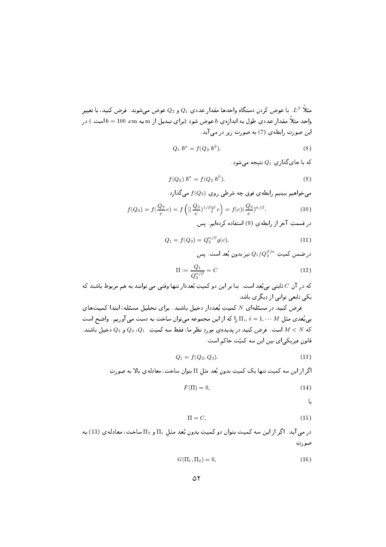مثلاً ( L . با عوض تردنِ دستگاهِ واحدها مقدارِ عددي 1 ⁄2) و 2⁄2) عوض میسوند. فرض تنید، با تغییرِ والعلم المعار للعاملي التون به العاردي \* التواس للتونا (براي لينايس از علم به الله 100 × 100 × 100 × 100 × 100 ین کرد کی په دی کرد کی د سر ک

$$
Q_1 b^{\alpha} = f(Q_2 b^{\beta}). \tag{8}
$$

که با جایگذاری  $Q_1$  نتیجه میشود.

$$
f(Q_2) b^{\alpha} = f(Q_2 b^{\beta}). \tag{9}
$$

ی کی است از بالک کو کردن پارک کا کردی کردن کا ایک ایران کا محل ایران کا ایران کا ایران کا ایران کا ایران کا ای

$$
f(Q_2) = f(\frac{Q_2}{c}c) = f\left( [(\frac{Q_2}{c})^{1/\beta}]^{\beta} c \right) = f(c) (\frac{Q_2}{c})^{\alpha/\beta}.
$$
 (10)

در قسمتِ آخر از رابطهی (9) استفاده کردهایم. پس

$$
Q_1 = f(Q_2) = Q_2^{\alpha/\beta} g(c). \tag{11}
$$

در صمن نميت  $Q_2$ ر  $Q_2$  نير بدونِ بعد است. پس

$$
\Pi := \frac{Q_1}{Q_2^{\alpha/\beta}} = C \tag{12}
$$

 .\$ ( .5 L- b.5 
f 2 4# -  . 2 f d 2 ) 
 یکی تابعی توانی از دیگر ی باشد.

فرض کنید در مسئلهای N کمیتِ بُعددار دخیل باشند. برای تحلیل مسئله، ابتدا کمیتهای 2 ]O- ( 
 -) 2 2H 5 8#1    W 9 " <sup>R</sup> P f ليه  $\alpha \in \mathbb{N}$  است. فرص تنيد در پديدهي موريا نظرِ ما، فقط شه تنميت - 21% و 3 % تحييل باشند.  $\mathcal{L} = \{ \mathcal{L} \}$  -  $\mathcal{L} = \{ \mathcal{L} \}$  , where  $\mathcal{L} = \{ \mathcal{L} \}$ 

$$
Q_1 = f(Q_2, Q_3). \t\t(13)
$$

، جزائر این سال سیست که این سال پیش به سال ۱۳۰ برای سال ۱۳۰ میلادی از این سال ۱۳۰ برای این سال در این سال در

$$
F(\Pi) = 0,\t\t(14)
$$

L

$$
\Pi = C,\tag{15}
$$

-ر می بدن مراد بین سال سیست بدون موسیق بدن مون با استاق به استان میشود. استان میشود که با استان با استان استان صورتِ

$$
G(\Pi_1, \Pi_2) = 0,\t\t(16)
$$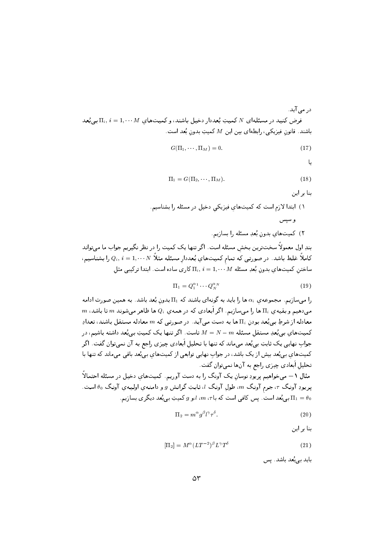در مے آبد. فرض کنید در مسئلهای X کمیتِ بُعددار دخیل باشند، و کمیتهای  $M$   $\Gamma_i,\,i=1,\cdots$  بی بُعد باشند. قانون فيزيكي، رابطهاي بين اين  $M$  كميتِ بدون بُعد است.

$$
G(\Pi_1, \cdots, \Pi_M) = 0. \tag{17}
$$

L

$$
\Pi_1 = G(\Pi_2, \cdots, \Pi_M). \tag{18}
$$

بنا ہر این

بندِ اول معمولاً سختترین بخش مسئله است. اگر تنها یک کمیت را در نظر نگیریم جواب ما میتواند کاملاً غلط باشد. در صورتی که تمام کمیتهایِ بُعددارِ مسئله مثلاً  $Q_i, \, i=1,\cdots N$  را بشناسیم، ساختن کمیتهای بدون بُعدِ مسئله  $\Pi_i,\ i=1,\cdots M$  کاری ساده است. ابتدا ترکیبی مثل

$$
\Pi_1 = Q_1^{\alpha_1} \cdots Q_N^{\alpha_N} \tag{19}
$$

را می سازیم. مجموعه ی ،۵ ها را باید به گونهای باشند که  $\Pi_1$  بدون بُعد باشد. به همین صورت ادامه  $m$  می $\alpha$ هیم و بقیه $\Gamma_i$  ها را می $\omega$ ازیم. اگر اَبعادی که در همه $Q_i$  ها ظاهر میشوند  $m$  تا باشد، معادله از شرطِ بی بُعد بودن  $\Pi_i$  ها به دست می آید. در صورتی که  $m$  معادله مستقل باشند، تعدادِ کمیتهای بی بُعدِ مستقل مسئله  $N=N-1$  تاست. اگر تنها یک کمیتِ بی بُعد داشته باشیم، در جواب نهایی یک ثابتِ بی بُعد میماند که تنها با تحلیل اَبعادی چیزی راجع به آن نمیتوان گفت. اگر کمیتهای بی بُعد بیش از یک باشد، در جواب نهایی توابعی از کمیتهای بی بُعد باقی می ماند که تنها با تحليل اَبعادي چيزي راجع به آنها نمي توان گفت.

مثال ١ – مي خواهيم پريودِ نوسانِ يک آونگ را به دست آوريم. کميتهاي دخيل در مسئله احتمالاً پریودِ آونگ  $\tau$ ، جرم آونگ  $m$ ، طول آونگ  $l$ ، ثابتِ گرانش  $g$  و دامنهی اولیهی آونگ  $\theta_0$  است. بی بُعد است . پس کافی است که با $m$  ، $m$  ، ابو  $g$  کمیتِ بی بُعد دیگری بسازیم.  $\Pi_1=\theta_0$ 

$$
\Pi_2 = m^\alpha g^\beta l^\gamma \tau^\delta. \tag{20}
$$

بنا بر این

$$
\left[\Pi_{2}\right] = M^{\alpha} (LT^{-2})^{\beta} L^{\gamma} T^{\delta} \tag{21}
$$

باید ہے بُعد باشد. پس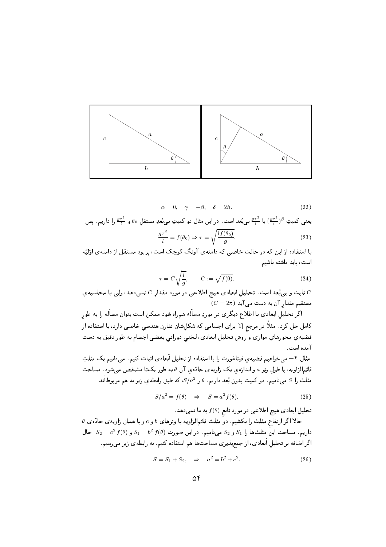

 $\alpha = 0, \quad \gamma = -\beta, \quad \delta = 2\beta.$  $(22)$ 

یعنبی کمیتِ  $\frac{g\tau^2}{l}$  یا  $\frac{g\tau^2}{l}$  ببی بُعد است. در این مثال دو کمیتِ ببی بُعدِ مستقل ہ $\theta$  و  $\frac{g\tau^2}{l}$  را داریم. پس  $\sqrt{110}$ 

$$
\frac{g\tau}{l} = f(\theta_0) \Rightarrow \tau = \sqrt{\frac{l f(\theta_0)}{g}}.\tag{23}
$$

با استفاده از این که در حالتِ خاصی که دامنهی آونگ کوچک است، پریود مستقل از دامنهی اوّلیّه است، باید داشته باشیم

$$
\tau = C \sqrt{\frac{l}{g}}, \qquad C := \sqrt{f(0)}.
$$
\n(24)

ثابت و بي بُعد است. تحليل ابعادي هيچ اطلاعي در موردِ مقدارِ  $C$  نمي دهد، ولي با محاسبهي  $\overline{C}$  $(C=2\pi)$  مستقیم مقدار آن به دست می آید

اگر تحلیلِ ابعادی با اطلاع دیگری در موردِ مسأله همراه شود ممکن است بتوان مسأله را به طور كامل حل كرد. مثلاً در مرجع [1] براي اجسامي كه شكلشان تقارنِ هندسي خاصي دارد، با استفاده از قضیه ی محورهای موازی و روش تحلیل ابعادی، لختبی دورانی بعضبی اجسام به طور دقیق به دست آمده است.

مثال ۲– می خواهیم قضیه ی فیثاغورث را با استفاده از تحلیل اَبعادی اثبات کنیم. میدانیم یک مثلثِ قائمالزاویه، با طول وتر a و اندازهی یک زاویهی حادّهی آن  $\theta$  به طور یکتا مشخص میشود. مساحت مثلث را 5 مي،ناميم. دو كميتِ بدونٍ بُعد داريم،  $\theta$  و  $S/a^2$ ، كه طبق رابطهي زير به هم مربوطاًند.

$$
S/a^2 = f(\theta) \quad \Rightarrow \quad S = a^2 f(\theta). \tag{25}
$$

تحليلِ ابعادي هيچ اطلاعي در موردِ تابع ( $f(\theta)$  به ما نمي دهد.

 $\theta$  حالا اگر ارتفاع مثلث را بکشیم، دو مثلثِ قائمالزاویه با وترهای  $b$  و c و با همان زاویه $\circ$  حادّه $\theta$  $S_2 = c^2 f(\theta)$  داریم. مساحتِ این مثلثها را  $S_1$  و  $S_2$  مینامیم. در این صورت  $f(\theta)$   $S_1 = b^2 f(\theta)$ . حال اگر اضافه بر تحليل اَبعادي، از جمعپذيريِ مساحتها هم استفاده کنيم، به رابطهي زير ميرسيم.

$$
S = S_1 + S_2, \Rightarrow a^2 = b^2 + c^2. \tag{26}
$$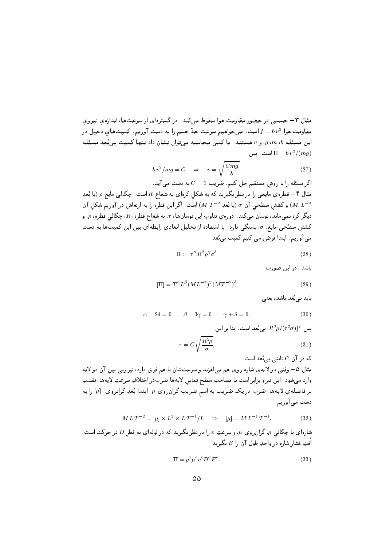مثال ۳– جسمی در حضور مقاومتِ هوا سقوط می کند. در گسترهای از سرعتها، اندازهی نیروی مقاومتِ هوا  $v^2$  است. می خواهیم سرعتِ حدّ جسم را به دست آوریم. کمیتهای دخیل در اين مسئله  $g\,m\,b$ ، و v هستند. با كمى محاسبه مى توان نشان داد تنها كميتِ بى بُعدِ مسئله است. یس  $\Pi = b v^2/(mg)$ 

$$
b v2/mg = C \Rightarrow v = \sqrt{\frac{Cmg}{b}}.
$$
 (27)

اگر مسئله را با روش مستقیم حل کنیم، ضریب 1 $1 = C =$  به دست می آید. مثال ۴ – قطرهی مایعی را در نظر بگیرید که به شکل کرهای به شعاع R است. چگالی مایع p (با بُعدِ و كشش سطحى آن  $\sigma$  (با بُعدِ  $M$  7 = 2) است. اگر اين قطره را به ارتعاش در آوريم شكل آن ( $M,L^{-3}$ ديگر کره نمي،اند، نوسان ميکند. دورهي تناوبِ اين نوسانها،  $\tau$ ، به شعاع قطره،  $R$ ، چگالي قطره،  $\rho$ ، و کشش سطحی مایع،  $\sigma$ ، بستگی دارد. با استفاده از تحلیل ابعادی رابطهای بین این کمیتها به دست می آوریم. ابتدا فرض می کنیم کمیتِ بی بُعد

$$
\Pi := \tau^{\alpha} R^{\beta} \rho^{\gamma} \sigma^{\delta} \tag{28}
$$

باشد. در این صورت

$$
\left[\Pi\right] = T^{\alpha} L^{\beta} (ML^{-3})^{\gamma} (MT^{-2})^{\delta} \tag{29}
$$

باید ہے بُعد باشد، یعنی

$$
\alpha - 2\delta = 0 \qquad \beta - 3\gamma = 0 \qquad \gamma + \delta = 0. \tag{30}
$$

پس  $[R^3\rho/(\tau^2\sigma)]^\gamma$  پس  $[R^3\rho/(\tau^2\sigma)]^\gamma$  پس  $\tau = C \sqrt{\frac{R^3 \rho}{\sigma}},$  $(31)$ 

که در آن  $C$  ثابتے ہے بُعد است. مثال ۵– وقتبي دو لايهي شاره روي هم ميلغزند و سرعتِشان با هم فرق دارد، نيرويبي بين آن دو لايه وارد مىشود. اين نيرو برابر است با مساحتِ سطح تماس لايهها ضربدر اختلافِ سرعتِ لايهها، تقسيم بر فاصلهي لايهها، ضرب در يک ضريب به اسم ضريبِ گران٫وی #. ابتدا بُعدِ گرانروی [µ] را به دست مي آوريم.

$$
M L T^{-2} = [\mu] \times L^2 \times L T^{-1} / L \quad \Rightarrow \quad [\mu] = M L^{-1} T^{-1}.
$$
 (32)

شارهای با چگالبی  $\rho$ ، گران روی  $\mu$ ، و سرعتِ  $v$  را در نظر بگیرید که در لولهای به قطر D در حرکت است. اُفتِ فشار شاره در واحدِ طول آن را  $E$  بگیرید.

$$
\Pi = \rho^a \mu^b v^c D^d E^e. \tag{33}
$$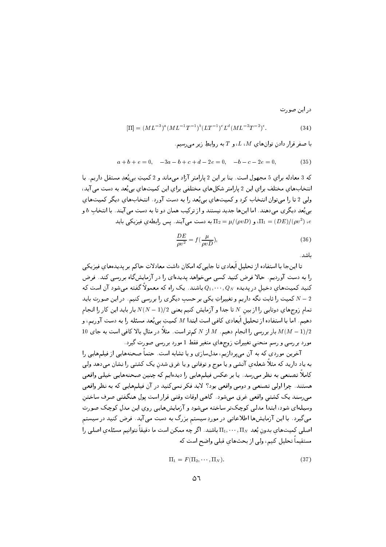در این صورت

$$
\left[\Pi\right] = (ML^{-3})^a (ML^{-1}T^{-1})^b (LT^{-1})^c L^d (ML^{-2}T^{-2})^e.
$$
\n(34)

با صفر قرار دادن توان های  $U$ ،  $I$ ، و  $T$ به روابطِ زیر می رسیم.

$$
a+b+e=0, \quad -3a-b+c+d-2e=0, \quad -b-c-2e=0,\tag{35}
$$

که 3 معادله برای 5 مجهول است. بنا بر این 2 پارامتر آزاد می ماند و 2 کمپتِ بی بُعدِ مستقل داریم. با انتخابهای مختلف برای این 2 پارامتر شکلهای مختلفی برای این کمیتهای بی بُعد به دست می آید، ولي 2 تا را مي توان انتخاب كرد و كميتهاي بي بُعد را به دست آورد. انتخابهاي ديگر كميتهاي بپی بُعدِ دیگری می دهند. اما اینها جدید نیستند و از ترکیب همان دو تا به دست می آیند. با انتخاب b و به دست می آیند. پس رابطهی فیزیکی باید  $\Pi_2 = \mu/(\rho v D)$  به دست می آیند. پس رابطهی فیزیکی باید  $\pi_1 = (DE)/(\rho v^2)$  ،e

$$
\frac{DE}{\rho v^2} = f(\frac{\mu}{\rho v D}),\tag{36}
$$

ىاشد.

تا اینجا با استفاده از تحلیل اَبعادی تا جاییکه امکان داشت معادلاتِ حاکم بر پدیدههای فیزیکی را به دست آوردیم. حالا فرض کنید کسی می خواهد پدیدهای را در آزمایشگاه بررسی کند. فرض کنید کمیتهای دخیل در پدیده  $Q_N$  ۱٬۰۰۰٬ باشند. یک راه که معمولاً گفته میشود آن است که کمیت را ثابت نگه داریم و تغییراتِ یکی بر حسب دیگری را بررسی کنیم. در این صورت باید  $N-2$ تمام زوجهای دوتایی را از بین X تا جدا و آزمایش کنیم یعنی 1/(1 $(N-1)/2$  بار باید این کار را انجام دهیم. اما با استفاده از تحلیل اَبعادی کافی است ابتدا M کمیتِ بی بُعد مسئله را به دست آوریم، و 10 بار بررسی را انجام دهیم.  $M$  از  $N$  کمتر است. مثلاً در مثال بالا کافی است به جای $M(M-1)/2$ مورد بررسی و رسم منحنبی تغییراتِ زوجهای متغیر فقط 1 مورد بررسی صورت گیرد.

آخرین موردی که به آن می پردازیم، مدلسازی و یا تشابه است. حتماً صحنههایی از فیلمهایی را به یاد دارید که مثلاً شعلهی آتشی و یا موج و توفانیی و یا غرق شدن یک کشتی را نشان میدهد ولیی کاملاً تصنعی به نظر میرسد. یا بر عکس فیلمهایی را دیدهایم که چنین صحنههایی خیلی واقعی هستند. چرا اولی تصنعی و دومی واقعی بود؟ لابد فکر نمی کنید در آن فیلمهایی که به نظر واقعی مبي رسند يک کشتبي واقعي غرق مبي شود. گاهي اوقات وقتبي قرار است يول هنگفتبي صرف ساختن وسیلهای شود، ابتدا مدلی کوچکتر ساخته میشود و آزمایشهایی روی این مدل کوچک صورت میگیرد. با این آزمایشها اطلاعاتی در موردِ سیستم بزرگ به دست می آید. فرض کنید در سیستم اصلی کمیتهایِ بدونِ بُعد  $\Pi_N,\cdots,\Pi_N$  باشند. اگر چه ممکن است ما دقیقاً نتوانیم مسئلهی اصلی را مستقیماً تحلیل کنیم، ولی از بحثهای قبلی واضح است که

$$
\Pi_1 = F(\Pi_2, \cdots, \Pi_N). \tag{37}
$$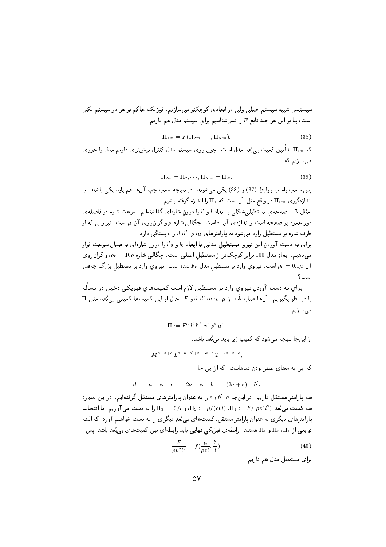$\Pi_{1m} = F(\Pi_{2m}, \cdots, \Pi_{Nm}).$  $(38)$ 

که  $\pi_{im}$ ، اَمین کمیتِ بی بُعدِ مدل است. چون رویِ سیستم مدل کنترلِ بیشتری داریم مدل را جوری می،سازیم که

$$
\Pi_{2m} = \Pi_2, \cdots, \Pi_{Nm} = \Pi_N. \tag{39}
$$

يس سمتِ راستِ روابطِ (37) و (38) يكي ميشوند. در نتيجه سمتِ چپ آنها هم بايد يكي باشند. با اندازهگیری  $\Pi_{1m}$  در واقع مثل آن است که  $\Pi_1$  را اندازه گرفته باشیم.

مثال ٦– صفحهی مستطیلبیشکلبی با ابعادِ i و 'i را درون شارهای گذاشتهایم. سرعتِ شاره در فاصلهی دور عمود بر صفحه است و اندازهی آن v است. چگالبی شاره p و گران روی آن µ است. نیرویبی که از  $d$ طرفِ شاره بر مستطیل وارد میشود به پارامترهای  $\mu$  ،  $p$ ،  $l$ ،  $l$ ، و  $v$  بستگی دارد.

برای به دست آوردن این نیرو، مستطیل مدلمی با ابعادِ 10 و 10 را درون شارهای با همان سرعت قرار میدهیم. ابعادِ مدل 100 برابر کوچکتر از مستطیل اصلبی است. چگالبی شاره 10p = 00، و گران روی آن  $\mu_0=0.1\mu$  است. نیروی وارد بر مستطیل مدل  $F_0$  شده است. نیروی وارد بر مستطیل بزرگ چهقدر است؟

برای به دست آوردن نیروی وارد بر مستطیل لازم است کمیتهای فیزیکی دخیل در مسأله را در نظر بگیریم. آنها عبارتآند از u ،v ،p ،µ، ا، و F. حال از این کمیتها کمیتی بی بُعد مثل II مىسازىم.

$$
\Pi := F^a \ l^b \ l'^{b'} \ v^c \rho^d \mu^e.
$$

از اینجا نتیجه می شود که کمیتِ زیر باید بی بُعد باشد.

$$
M^{a+d+e} L^{a+b+b'+c-3d-e} T^{-2a-c-e}.
$$

که این به معنای صفر بودن نماهاست. که از این جا

$$
d = -a - e
$$
,  $c = -2a - e$ ,  $b = -(2a + e) - b'$ .

سه پارامتر مستقل داریم. در اینجا a، 'b و e را به عنوان پارامترهای مستقل گرفتهایم. در این صورد سه كميتِ بي بُعدِ  $F/(\rho v^2 l^2) = \Pi_1 := \Pi_2 := \mu/(\rho v l)$ ، و  $\Pi_1 := \Pi_2 = \Pi_3$  را به دست مي آوريم. با انتخاب پارامترهاي ديگري به عنوانِ پارامتر مستقل، كميتهاي بي بُعدِ ديگري را به دست خواهيم آورد، كه البته توابعی از  $\Pi_1$  و  $\Pi_1$  هستند. رابطهی فیزیکی نهایی باید رابطهای بین کمیتهای بی بُعد باشد، پس

$$
\frac{F}{\rho v^2 l^2} = f\left(\frac{\mu}{\rho v l}, \frac{l'}{l}\right). \tag{40}
$$

برای مستطیل مدل هم داریم